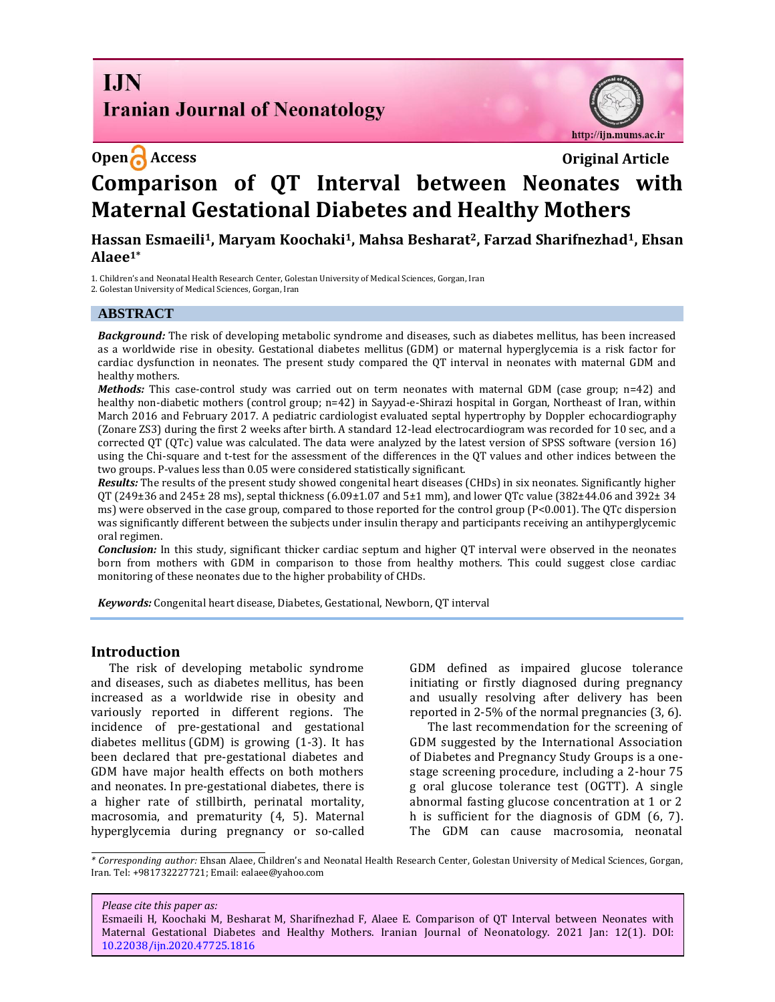**I.IN Iranian Journal of Neonatology** 

# **Open Access Original Article**



# **Comparison of QT Interval between Neonates with Maternal Gestational Diabetes and Healthy Mothers**

**Hassan Esmaeili1, Maryam Koochaki1, Mahsa Besharat2, Farzad Sharifnezhad1, Ehsan Alaee1\***

1. Children's and Neonatal Health Research Center, Golestan University of Medical Sciences, Gorgan, Iran 2. Golestan University of Medical Sciences, Gorgan, Iran

#### **ABSTRACT**

*Background:* The risk of developing metabolic syndrome and diseases, such as diabetes mellitus, has been increased as a worldwide rise in obesity. Gestational diabetes mellitus (GDM) or maternal hyperglycemia is a risk factor for cardiac dysfunction in neonates. The present study compared the QT interval in neonates with maternal GDM and healthy mothers.

*Methods:* This case-control study was carried out on term neonates with maternal GDM (case group; n=42) and healthy non-diabetic mothers (control group; n=42) in Sayyad-e-Shirazi hospital in Gorgan, Northeast of Iran, within March 2016 and February 2017. A pediatric cardiologist evaluated septal hypertrophy by Doppler echocardiography (Zonare ZS3) during the first 2 weeks after birth. A standard 12-lead electrocardiogram was recorded for 10 sec, and a corrected QT (QTc) value was calculated. The data were analyzed by the latest version of SPSS software (version 16) using the Chi-square and t-test for the assessment of the differences in the QT values and other indices between the two groups. P-values less than 0.05 were considered statistically significant.

*Results:* The results of the present study showed congenital heart diseases (CHDs) in six neonates. Significantly higher QT (249±36 and 245± 28 ms), septal thickness (6.09±1.07 and 5±1 mm), and lower QTc value (382±44.06 and 392± 34 ms) were observed in the case group, compared to those reported for the control group (P<0.001). The QTc dispersion was significantly different between the subjects under insulin therapy and participants receiving an antihyperglycemic oral regimen.

*Conclusion:* In this study, significant thicker cardiac septum and higher QT interval were observed in the neonates born from mothers with GDM in comparison to those from healthy mothers. This could suggest close cardiac monitoring of these neonates due to the higher probability of CHDs.

*Keywords:* Congenital heart disease, Diabetes, Gestational, Newborn, QT interval

#### **Introduction**

The risk of developing metabolic syndrome and diseases, such as diabetes mellitus, has been increased as a worldwide rise in obesity and variously reported in different regions. The incidence of pre-gestational and gestational diabetes mellitus (GDM) is growing (1-3). It has been declared that pre-gestational diabetes and GDM have major health effects on both mothers and neonates. In pre-gestational diabetes, there is a higher rate of stillbirth, perinatal mortality, macrosomia, and prematurity (4, 5). Maternal hyperglycemia during pregnancy or so-called GDM defined as impaired glucose tolerance initiating or firstly diagnosed during pregnancy and usually resolving after delivery has been reported in 2-5% of the normal pregnancies (3, 6).

The last recommendation for the screening of GDM suggested by the International Association of Diabetes and Pregnancy Study Groups is a onestage screening procedure, including a 2-hour 75 g oral glucose tolerance test (OGTT). A single abnormal fasting glucose concentration at 1 or 2 h is sufficient for the diagnosis of GDM (6, 7). The GDM can cause macrosomia, neonatal

#### *Please cite this paper as:*

Esmaeili H, Koochaki M, Besharat M, Sharifnezhad F, Alaee E. Comparison of QT Interval between Neonates with Maternal Gestational Diabetes and Healthy Mothers. Iranian Journal of Neonatology. 2021 Jan: 12(1). DOI: [10.22038/ijn.2020.47725.1816](https://ijn.mums.ac.ir/)

*<sup>\*</sup> Corresponding author:* Ehsan Alaee, Children's and Neonatal Health Research Center, Golestan University of Medical Sciences, Gorgan, Iran. Tel: +981732227721; Email: ealaee@yahoo.com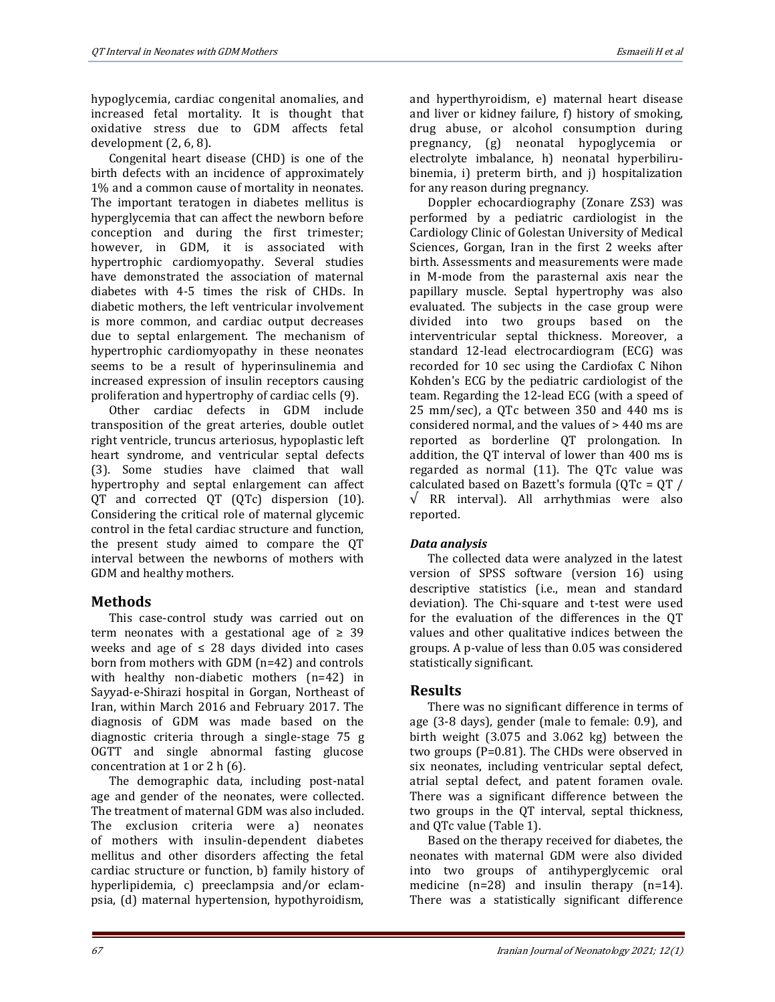hypoglycemia, cardiac congenital anomalies, and increased fetal mortality. It is thought that oxidative stress due to GDM affects fetal development (2, 6, 8).

Congenital heart disease (CHD) is one of the birth defects with an incidence of approximately 1% and a common cause of mortality in neonates. The important teratogen in diabetes mellitus is hyperglycemia that can affect the newborn before conception and during the first trimester; however, in GDM, it is associated with hypertrophic cardiomyopathy. Several studies have demonstrated the association of maternal diabetes with 4-5 times the risk of CHDs. In diabetic mothers, the left ventricular involvement is more common, and cardiac output decreases due to septal enlargement. The mechanism of hypertrophic cardiomyopathy in these neonates seems to be a result of hyperinsulinemia and increased expression of insulin receptors causing proliferation and hypertrophy of cardiac cells (9).

Other cardiac defects in GDM include transposition of the great arteries, double outlet right ventricle, truncus arteriosus, hypoplastic left heart syndrome, and ventricular septal defects (3). Some studies have claimed that wall hypertrophy and septal enlargement can affect QT and corrected QT (QTc) dispersion (10). Considering the critical role of maternal glycemic control in the fetal cardiac structure and function, the present study aimed to compare the QT interval between the newborns of mothers with GDM and healthy mothers.

# **Methods**

This case-control study was carried out on term neonates with a gestational age of  $\geq 39$ weeks and age of  $\leq$  28 days divided into cases born from mothers with GDM (n=42) and controls with healthy non-diabetic mothers (n=42) in Sayyad-e-Shirazi hospital in Gorgan, Northeast of Iran, within March 2016 and February 2017. The diagnosis of GDM was made based on the diagnostic criteria through a single-stage 75 g OGTT and single abnormal fasting glucose concentration at 1 or 2 h (6).

The demographic data, including post-natal age and gender of the neonates, were collected. The treatment of maternal GDM was also included. The exclusion criteria were a) neonates of mothers with insulin-dependent diabetes mellitus and other disorders affecting the fetal cardiac structure or function, b) family history of hyperlipidemia, c) preeclampsia and/or eclampsia, (d) maternal hypertension, hypothyroidism,

and hyperthyroidism, e) maternal heart disease and liver or kidney failure, f) history of smoking, drug abuse, or alcohol consumption during pregnancy, (g) neonatal hypoglycemia or electrolyte imbalance, h) neonatal hyperbilirubinemia, i) preterm birth, and j) hospitalization for any reason during pregnancy.

Doppler echocardiography (Zonare ZS3) was performed by a pediatric cardiologist in the Cardiology Clinic of Golestan University of Medical Sciences, Gorgan, Iran in the first 2 weeks after birth. Assessments and measurements were made in M-mode from the parasternal axis near the papillary muscle. Septal hypertrophy was also evaluated. The subjects in the case group were divided into two groups based on the interventricular septal thickness. Moreover, a standard 12-lead electrocardiogram (ECG) was recorded for 10 sec using the Cardiofax C Nihon Kohden's ECG by the pediatric cardiologist of the team. Regarding the 12-lead ECG (with a speed of 25 mm/sec), a QTc between 350 and 440 ms is considered normal, and the values of > 440 ms are reported as borderline QT prolongation. In addition, the QT interval of lower than 400 ms is regarded as normal (11). The QTc value was calculated based on Bazett's formula (QTc = QT /  $\sqrt{R}$  RR interval). All arrhythmias were also reported.

# *Data analysis*

The collected data were analyzed in the latest version of SPSS software (version 16) using descriptive statistics (i.e., mean and standard deviation). The Chi-square and t-test were used for the evaluation of the differences in the QT values and other qualitative indices between the groups. A p-value of less than 0.05 was considered statistically significant.

# **Results**

There was no significant difference in terms of age (3-8 days), gender (male to female: 0.9), and birth weight (3.075 and 3.062 kg) between the two groups (P=0.81). The CHDs were observed in six neonates, including ventricular septal defect, atrial septal defect, and patent foramen ovale. There was a significant difference between the two groups in the QT interval, septal thickness, and QTc value (Table 1).

Based on the therapy received for diabetes, the neonates with maternal GDM were also divided into two groups of antihyperglycemic oral medicine (n=28) and insulin therapy (n=14). There was a statistically significant difference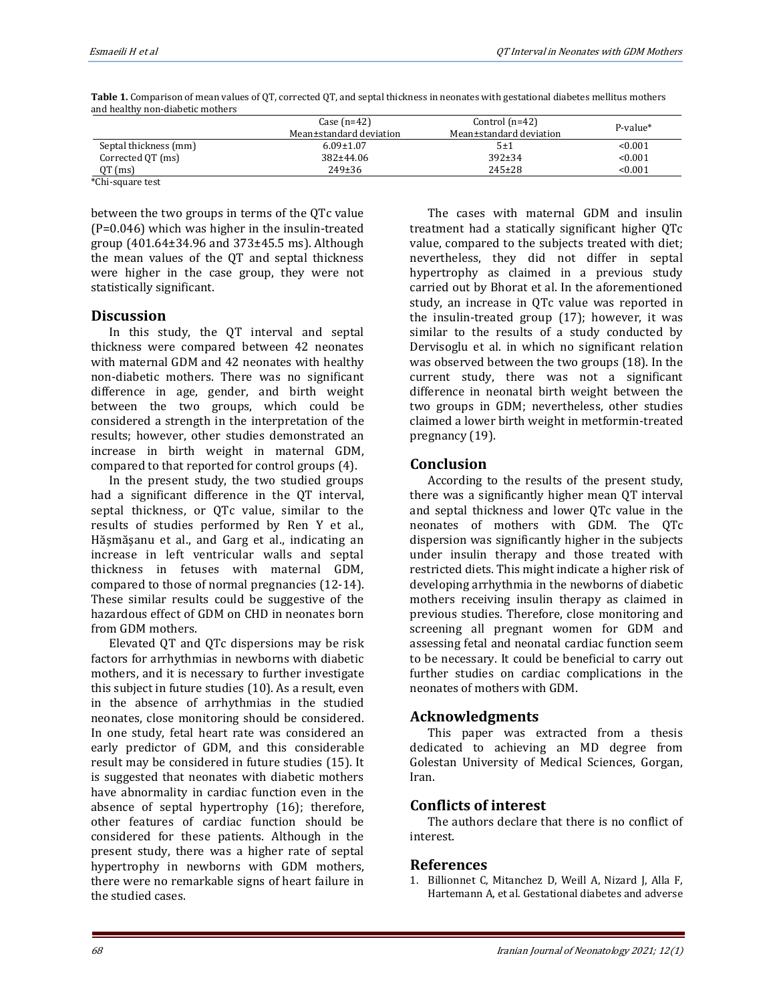|                       | Case $(n=42)$<br>Mean±standard deviation | Control $(n=42)$<br>Mean±standard deviation | $P-value*$ |
|-----------------------|------------------------------------------|---------------------------------------------|------------|
| Septal thickness (mm) | $6.09 \pm 1.07$                          | 5±1                                         | < 0.001    |
| Corrected QT (ms)     | $382+44.06$                              | $392 \pm 34$                                | < 0.001    |
| $QT$ (ms)             | $249 \pm 36$                             | $245+28$                                    | < 0.001    |

**Table 1.** Comparison of mean values of QT, corrected QT, and septal thickness in neonates with gestational diabetes mellitus mothers and healthy non-diabetic mothers

\*Chi-square test

between the two groups in terms of the QTc value (P=0.046) which was higher in the insulin-treated group (401.64±34.96 and 373±45.5 ms). Although the mean values of the QT and septal thickness were higher in the case group, they were not statistically significant.

### **Discussion**

In this study, the QT interval and septal thickness were compared between 42 neonates with maternal GDM and 42 neonates with healthy non-diabetic mothers. There was no significant difference in age, gender, and birth weight between the two groups, which could be considered a strength in the interpretation of the results; however, other studies demonstrated an increase in birth weight in maternal GDM, compared to that reported for control groups (4).

In the present study, the two studied groups had a significant difference in the QT interval, septal thickness, or QTc value, similar to the results of studies performed by Ren Y et al., Hăşmăşanu et al., and Garg et al., indicating an increase in left ventricular walls and septal thickness in fetuses with maternal GDM, compared to those of normal pregnancies (12-14). These similar results could be suggestive of the hazardous effect of GDM on CHD in neonates born from GDM mothers.

Elevated QT and QTc dispersions may be risk factors for arrhythmias in newborns with diabetic mothers, and it is necessary to further investigate this subject in future studies (10). As a result, even in the absence of arrhythmias in the studied neonates, close monitoring should be considered. In one study, fetal heart rate was considered an early predictor of GDM, and this considerable result may be considered in future studies (15). It is suggested that neonates with diabetic mothers have abnormality in cardiac function even in the absence of septal hypertrophy (16); therefore, other features of cardiac function should be considered for these patients. Although in the present study, there was a higher rate of septal hypertrophy in newborns with GDM mothers, there were no remarkable signs of heart failure in the studied cases.

The cases with maternal GDM and insulin treatment had a statically significant higher QTc value, compared to the subjects treated with diet; nevertheless, they did not differ in septal hypertrophy as claimed in a previous study carried out by Bhorat et al. In the aforementioned study, an increase in QTc value was reported in the insulin-treated group (17); however, it was similar to the results of a study conducted by Dervisoglu et al. in which no significant relation was observed between the two groups (18). In the current study, there was not a significant difference in neonatal birth weight between the two groups in GDM; nevertheless, other studies claimed a lower birth weight in metformin-treated pregnancy (19).

# **Conclusion**

According to the results of the present study, there was a significantly higher mean QT interval and septal thickness and lower QTc value in the neonates of mothers with GDM. The QTc dispersion was significantly higher in the subjects under insulin therapy and those treated with restricted diets. This might indicate a higher risk of developing arrhythmia in the newborns of diabetic mothers receiving insulin therapy as claimed in previous studies. Therefore, close monitoring and screening all pregnant women for GDM and assessing fetal and neonatal cardiac function seem to be necessary. It could be beneficial to carry out further studies on cardiac complications in the neonates of mothers with GDM.

# **Acknowledgments**

This paper was extracted from a thesis dedicated to achieving an MD degree from Golestan University of Medical Sciences, Gorgan, Iran.

# **Conflicts of interest**

The authors declare that there is no conflict of interest.

# **References**

1. Billionnet C, Mitanchez D, Weill A, Nizard J, Alla F, Hartemann A, et al. Gestational diabetes and adverse